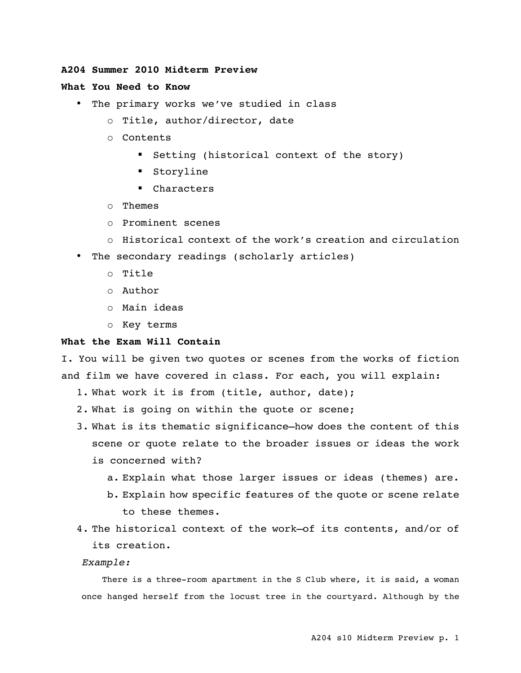# **A204 Summer 2010 Midterm Preview**

# **What You Need to Know**

- The primary works we've studied in class
	- o Title, author/director, date
	- o Contents
		- **Setting (historical context of the story)**
		- Storyline
		- Characters
	- o Themes
	- o Prominent scenes
	- o Historical context of the work's creation and circulation
- The secondary readings (scholarly articles)
	- o Title
	- o Author
	- o Main ideas
	- o Key terms

### **What the Exam Will Contain**

I. You will be given two quotes or scenes from the works of fiction and film we have covered in class. For each, you will explain:

- 1. What work it is from (title, author, date);
- 2. What is going on within the quote or scene;
- 3. What is its thematic significance—how does the content of this scene or quote relate to the broader issues or ideas the work is concerned with?
	- a. Explain what those larger issues or ideas (themes) are.
	- b. Explain how specific features of the quote or scene relate to these themes.
- 4. The historical context of the work—of its contents, and/or of its creation.

#### *Example:*

There is a three-room apartment in the S Club where, it is said, a woman once hanged herself from the locust tree in the courtyard. Although by the